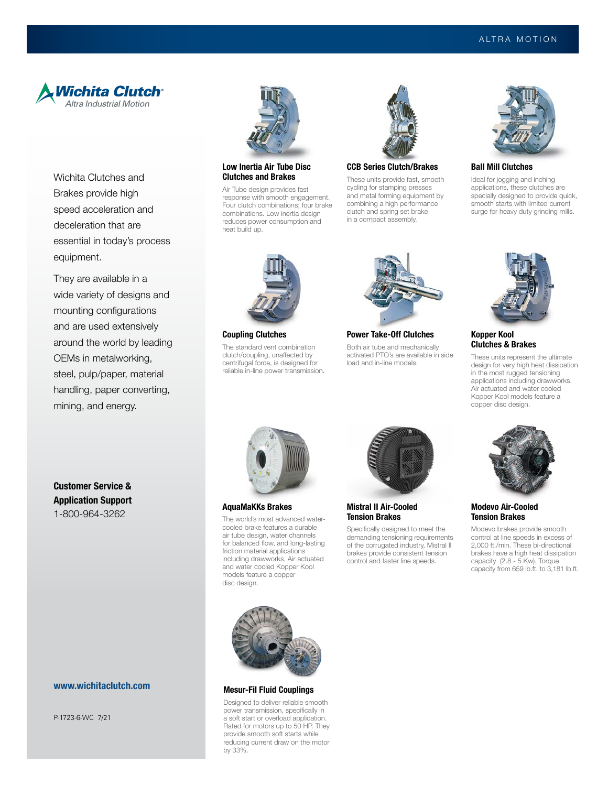

Wichita Clutches and Brakes provide high speed acceleration and deceleration that are essential in today's process equipment.

They are available in a wide variety of designs and mounting configurations and are used extensively around the world by leading OEMs in metalworking, steel, pulp/paper, material handling, paper converting, mining, and energy.



#### Low Inertia Air Tube Disc Clutches and Brakes

Air Tube design provides fast response with smooth engagement. Four clutch combinations; four brake combinations. Low inertia design reduces power consumption and heat build up.



## CCB Series Clutch/Brakes These units provide fast, smooth

cycling for stamping presses and metal forming equipment by combining a high performance clutch and spring set brake in a compact assembly.



Ball Mill Clutches

Ideal for jogging and inching applications, these clutches are specially designed to provide quick, smooth starts with limited current surge for heavy duty grinding mills.



Coupling Clutches

The standard vent combination clutch/coupling, unaffected by centrifugal force, is designed for reliable in-line power transmission.



Power Take-Off Clutches

Both air tube and mechanically activated PTO's are available in side load and in-line models.



### Kopper Kool Clutches & Brakes

These units represent the ultimate design for very high heat dissipation in the most rugged tensioning applications including drawworks. Air actuated and water cooled Kopper Kool models feature a copper disc design.



### Modevo Air-Cooled Tension Brakes

Modevo brakes provide smooth control at line speeds in excess of 2,000 ft./min. These bi-directional brakes have a high heat dissipation capacity (2.8 - 5 Kw). Torque capacity from 659 lb.ft. to 3,181 lb.ft.

Customer Service & Application Support 1-800-964-3262

## www.wichitaclutch.com

P-1723-6-WC 7/21



AquaMaKKs Brakes

The world's most advanced watercooled brake features a durable air tube design, water channels for balanced flow, and long-lasting friction material applications including drawworks. Air actuated and water cooled Kopper Kool models feature a copper disc design.



Mistral II Air-Cooled Tension Brakes

Specifically designed to meet the demanding tensioning requirements of the corrugated industry, Mistral II brakes provide consistent tension control and faster line speeds.



#### Mesur-Fil Fluid Couplings

Designed to deliver reliable smooth power transmission, specifically in a soft start or overload application. Rated for motors up to 50 HP. They provide smooth soft starts while reducing current draw on the motor by 33%.